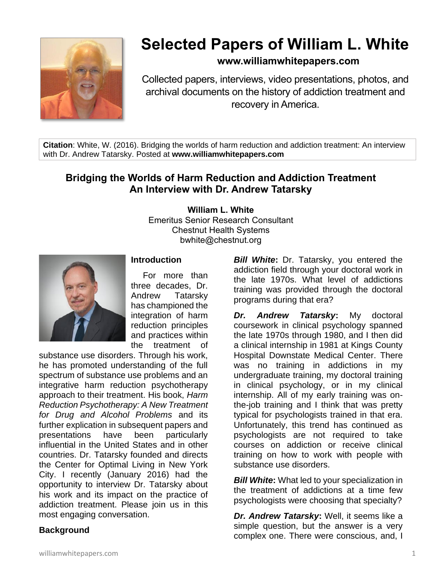

# **Selected Papers of William L. White**

# **www.williamwhitepapers.com**

Collected papers, interviews, video presentations, photos, and archival documents on the history of addiction treatment and recovery in America.

**Citation**: White, W. (2016). Bridging the worlds of harm reduction and addiction treatment: An interview with Dr. Andrew Tatarsky. Posted at **www.williamwhitepapers.com**

# **Bridging the Worlds of Harm Reduction and Addiction Treatment An Interview with Dr. Andrew Tatarsky**

**William L. White**

Emeritus Senior Research Consultant Chestnut Health Systems bwhite@chestnut.org



#### **Introduction**

For more than three decades, Dr. Andrew Tatarsky has championed the integration of harm reduction principles and practices within the treatment of

substance use disorders. Through his work, he has promoted understanding of the full spectrum of substance use problems and an integrative harm reduction psychotherapy approach to their treatment. His book, *Harm Reduction Psychotherapy: A New Treatment for Drug and Alcohol Problems* and its further explication in subsequent papers and presentations have been particularly influential in the United States and in other countries. Dr. Tatarsky founded and directs the Center for Optimal Living in New York City. I recently (January 2016) had the opportunity to interview Dr. Tatarsky about his work and its impact on the practice of addiction treatment. Please join us in this most engaging conversation.

## **Background**

**Bill White:** Dr. Tatarsky, you entered the addiction field through your doctoral work in the late 1970s. What level of addictions training was provided through the doctoral programs during that era?

*Dr. Andrew Tatarsky***:** My doctoral coursework in clinical psychology spanned the late 1970s through 1980, and I then did a clinical internship in 1981 at Kings County Hospital Downstate Medical Center. There was no training in addictions in my undergraduate training, my doctoral training in clinical psychology, or in my clinical internship. All of my early training was onthe-job training and I think that was pretty typical for psychologists trained in that era. Unfortunately, this trend has continued as psychologists are not required to take courses on addiction or receive clinical training on how to work with people with substance use disorders.

**Bill White:** What led to your specialization in the treatment of addictions at a time few psychologists were choosing that specialty?

*Dr. Andrew Tatarsky***:** Well, it seems like a simple question, but the answer is a very complex one. There were conscious, and, I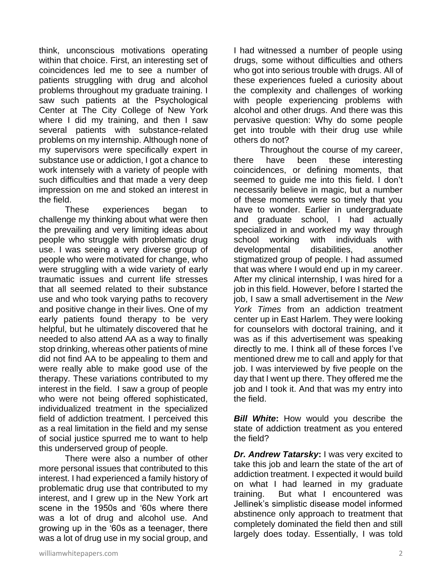think, unconscious motivations operating within that choice. First, an interesting set of coincidences led me to see a number of patients struggling with drug and alcohol problems throughout my graduate training. I saw such patients at the Psychological Center at The City College of New York where I did my training, and then I saw several patients with substance-related problems on my internship. Although none of my supervisors were specifically expert in substance use or addiction, I got a chance to work intensely with a variety of people with such difficulties and that made a very deep impression on me and stoked an interest in the field.

These experiences began to challenge my thinking about what were then the prevailing and very limiting ideas about people who struggle with problematic drug use. I was seeing a very diverse group of people who were motivated for change, who were struggling with a wide variety of early traumatic issues and current life stresses that all seemed related to their substance use and who took varying paths to recovery and positive change in their lives. One of my early patients found therapy to be very helpful, but he ultimately discovered that he needed to also attend AA as a way to finally stop drinking, whereas other patients of mine did not find AA to be appealing to them and were really able to make good use of the therapy. These variations contributed to my interest in the field. I saw a group of people who were not being offered sophisticated, individualized treatment in the specialized field of addiction treatment. I perceived this as a real limitation in the field and my sense of social justice spurred me to want to help this underserved group of people.

There were also a number of other more personal issues that contributed to this interest. I had experienced a family history of problematic drug use that contributed to my interest, and I grew up in the New York art scene in the 1950s and '60s where there was a lot of drug and alcohol use. And growing up in the '60s as a teenager, there was a lot of drug use in my social group, and

I had witnessed a number of people using drugs, some without difficulties and others who got into serious trouble with drugs. All of these experiences fueled a curiosity about the complexity and challenges of working with people experiencing problems with alcohol and other drugs. And there was this pervasive question: Why do some people get into trouble with their drug use while others do not?

Throughout the course of my career, there have been these interesting coincidences, or defining moments, that seemed to guide me into this field. I don't necessarily believe in magic, but a number of these moments were so timely that you have to wonder. Earlier in undergraduate and graduate school, I had actually specialized in and worked my way through school working with individuals with developmental disabilities, another stigmatized group of people. I had assumed that was where I would end up in my career. After my clinical internship, I was hired for a job in this field. However, before I started the job, I saw a small advertisement in the *New York Times* from an addiction treatment center up in East Harlem. They were looking for counselors with doctoral training, and it was as if this advertisement was speaking directly to me. I think all of these forces I've mentioned drew me to call and apply for that job. I was interviewed by five people on the day that I went up there. They offered me the job and I took it. And that was my entry into the field.

**Bill White:** How would you describe the state of addiction treatment as you entered the field?

*Dr. Andrew Tatarsky***:** I was very excited to take this job and learn the state of the art of addiction treatment. I expected it would build on what I had learned in my graduate training. But what I encountered was Jellinek's simplistic disease model informed abstinence only approach to treatment that completely dominated the field then and still largely does today. Essentially, I was told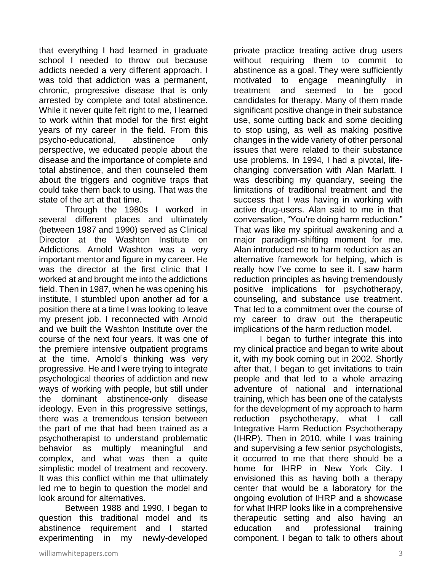that everything I had learned in graduate school I needed to throw out because addicts needed a very different approach. I was told that addiction was a permanent, chronic, progressive disease that is only arrested by complete and total abstinence. While it never quite felt right to me, I learned to work within that model for the first eight years of my career in the field. From this psycho-educational, abstinence only perspective, we educated people about the disease and the importance of complete and total abstinence, and then counseled them about the triggers and cognitive traps that could take them back to using. That was the state of the art at that time.

Through the 1980s I worked in several different places and ultimately (between 1987 and 1990) served as Clinical Director at the Washton Institute on Addictions. Arnold Washton was a very important mentor and figure in my career. He was the director at the first clinic that I worked at and brought me into the addictions field. Then in 1987, when he was opening his institute, I stumbled upon another ad for a position there at a time I was looking to leave my present job. I reconnected with Arnold and we built the Washton Institute over the course of the next four years. It was one of the premiere intensive outpatient programs at the time. Arnold's thinking was very progressive. He and I were trying to integrate psychological theories of addiction and new ways of working with people, but still under the dominant abstinence-only disease ideology. Even in this progressive settings, there was a tremendous tension between the part of me that had been trained as a psychotherapist to understand problematic behavior as multiply meaningful and complex, and what was then a quite simplistic model of treatment and recovery. It was this conflict within me that ultimately led me to begin to question the model and look around for alternatives.

Between 1988 and 1990, I began to question this traditional model and its abstinence requirement and I started experimenting in my newly-developed

private practice treating active drug users without requiring them to commit to abstinence as a goal. They were sufficiently motivated to engage meaningfully in treatment and seemed to be good candidates for therapy. Many of them made significant positive change in their substance use, some cutting back and some deciding to stop using, as well as making positive changes in the wide variety of other personal issues that were related to their substance use problems. In 1994, I had a pivotal, lifechanging conversation with Alan Marlatt. I was describing my quandary, seeing the limitations of traditional treatment and the success that I was having in working with active drug-users. Alan said to me in that conversation, "You're doing harm reduction." That was like my spiritual awakening and a major paradigm-shifting moment for me. Alan introduced me to harm reduction as an alternative framework for helping, which is really how I've come to see it. I saw harm reduction principles as having tremendously positive implications for psychotherapy, counseling, and substance use treatment. That led to a commitment over the course of my career to draw out the therapeutic implications of the harm reduction model.

I began to further integrate this into my clinical practice and began to write about it, with my book coming out in 2002. Shortly after that, I began to get invitations to train people and that led to a whole amazing adventure of national and international training, which has been one of the catalysts for the development of my approach to harm reduction psychotherapy, what I call Integrative Harm Reduction Psychotherapy (IHRP). Then in 2010, while I was training and supervising a few senior psychologists, it occurred to me that there should be a home for IHRP in New York City. I envisioned this as having both a therapy center that would be a laboratory for the ongoing evolution of IHRP and a showcase for what IHRP looks like in a comprehensive therapeutic setting and also having an education and professional training component. I began to talk to others about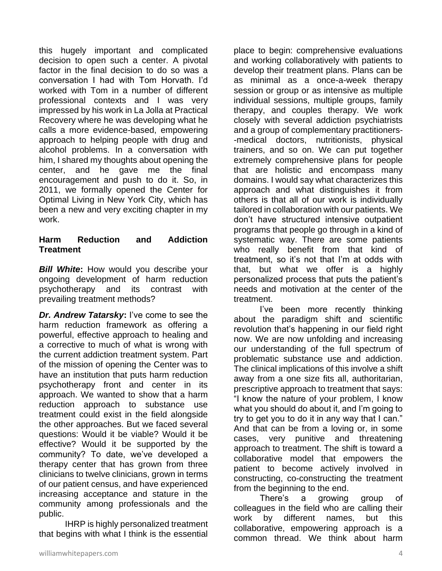this hugely important and complicated decision to open such a center. A pivotal factor in the final decision to do so was a conversation I had with Tom Horvath. I'd worked with Tom in a number of different professional contexts and I was very impressed by his work in La Jolla at Practical Recovery where he was developing what he calls a more evidence-based, empowering approach to helping people with drug and alcohol problems. In a conversation with him, I shared my thoughts about opening the center, and he gave me the final encouragement and push to do it. So, in 2011, we formally opened the Center for Optimal Living in New York City, which has been a new and very exciting chapter in my work.

#### **Harm Reduction and Addiction Treatment**

*Bill White***:** How would you describe your ongoing development of harm reduction psychotherapy and its contrast with prevailing treatment methods?

*Dr. Andrew Tatarsky***:** I've come to see the harm reduction framework as offering a powerful, effective approach to healing and a corrective to much of what is wrong with the current addiction treatment system. Part of the mission of opening the Center was to have an institution that puts harm reduction psychotherapy front and center in its approach. We wanted to show that a harm reduction approach to substance use treatment could exist in the field alongside the other approaches. But we faced several questions: Would it be viable? Would it be effective? Would it be supported by the community? To date, we've developed a therapy center that has grown from three clinicians to twelve clinicians, grown in terms of our patient census, and have experienced increasing acceptance and stature in the community among professionals and the public.

IHRP is highly personalized treatment that begins with what I think is the essential

place to begin: comprehensive evaluations and working collaboratively with patients to develop their treatment plans. Plans can be as minimal as a once-a-week therapy session or group or as intensive as multiple individual sessions, multiple groups, family therapy, and couples therapy. We work closely with several addiction psychiatrists and a group of complementary practitioners- -medical doctors, nutritionists, physical trainers, and so on. We can put together extremely comprehensive plans for people that are holistic and encompass many domains. I would say what characterizes this approach and what distinguishes it from others is that all of our work is individually tailored in collaboration with our patients. We don't have structured intensive outpatient programs that people go through in a kind of systematic way. There are some patients who really benefit from that kind of treatment, so it's not that I'm at odds with that, but what we offer is a highly personalized process that puts the patient's needs and motivation at the center of the treatment.

I've been more recently thinking about the paradigm shift and scientific revolution that's happening in our field right now. We are now unfolding and increasing our understanding of the full spectrum of problematic substance use and addiction. The clinical implications of this involve a shift away from a one size fits all, authoritarian, prescriptive approach to treatment that says: "I know the nature of your problem, I know what you should do about it, and I'm going to try to get you to do it in any way that I can." And that can be from a loving or, in some cases, very punitive and threatening approach to treatment. The shift is toward a collaborative model that empowers the patient to become actively involved in constructing, co-constructing the treatment from the beginning to the end.

There's a growing group of colleagues in the field who are calling their work by different names, but this collaborative, empowering approach is a common thread. We think about harm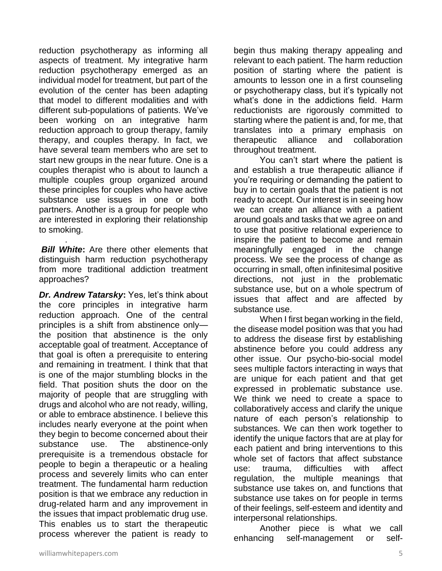reduction psychotherapy as informing all aspects of treatment. My integrative harm reduction psychotherapy emerged as an individual model for treatment, but part of the evolution of the center has been adapting that model to different modalities and with different sub-populations of patients. We've been working on an integrative harm reduction approach to group therapy, family therapy, and couples therapy. In fact, we have several team members who are set to start new groups in the near future. One is a couples therapist who is about to launch a multiple couples group organized around these principles for couples who have active substance use issues in one or both partners. Another is a group for people who are interested in exploring their relationship to smoking.

*Bill White*: Are there other elements that distinguish harm reduction psychotherapy from more traditional addiction treatment approaches?

.

*Dr. Andrew Tatarsky***:** Yes, let's think about the core principles in integrative harm reduction approach. One of the central principles is a shift from abstinence only the position that abstinence is the only acceptable goal of treatment. Acceptance of that goal is often a prerequisite to entering and remaining in treatment. I think that that is one of the major stumbling blocks in the field. That position shuts the door on the majority of people that are struggling with drugs and alcohol who are not ready, willing, or able to embrace abstinence. I believe this includes nearly everyone at the point when they begin to become concerned about their substance use. The abstinence-only prerequisite is a tremendous obstacle for people to begin a therapeutic or a healing process and severely limits who can enter treatment. The fundamental harm reduction position is that we embrace any reduction in drug-related harm and any improvement in the issues that impact problematic drug use. This enables us to start the therapeutic process wherever the patient is ready to

begin thus making therapy appealing and relevant to each patient. The harm reduction position of starting where the patient is amounts to lesson one in a first counseling or psychotherapy class, but it's typically not what's done in the addictions field. Harm reductionists are rigorously committed to starting where the patient is and, for me, that translates into a primary emphasis on therapeutic alliance and collaboration throughout treatment.

You can't start where the patient is and establish a true therapeutic alliance if you're requiring or demanding the patient to buy in to certain goals that the patient is not ready to accept. Our interest is in seeing how we can create an alliance with a patient around goals and tasks that we agree on and to use that positive relational experience to inspire the patient to become and remain meaningfully engaged in the change process. We see the process of change as occurring in small, often infinitesimal positive directions, not just in the problematic substance use, but on a whole spectrum of issues that affect and are affected by substance use.

When I first began working in the field, the disease model position was that you had to address the disease first by establishing abstinence before you could address any other issue. Our psycho-bio-social model sees multiple factors interacting in ways that are unique for each patient and that get expressed in problematic substance use. We think we need to create a space to collaboratively access and clarify the unique nature of each person's relationship to substances. We can then work together to identify the unique factors that are at play for each patient and bring interventions to this whole set of factors that affect substance use: trauma, difficulties with affect regulation, the multiple meanings that substance use takes on, and functions that substance use takes on for people in terms of their feelings, self-esteem and identity and interpersonal relationships.

Another piece is what we call enhancing self-management or self-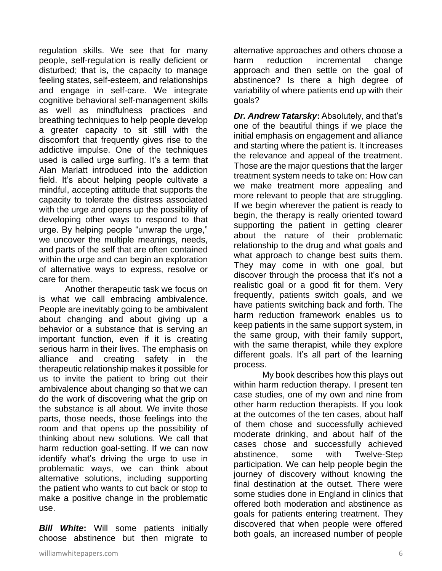regulation skills. We see that for many people, self-regulation is really deficient or disturbed; that is, the capacity to manage feeling states, self-esteem, and relationships and engage in self-care. We integrate cognitive behavioral self-management skills as well as mindfulness practices and breathing techniques to help people develop a greater capacity to sit still with the discomfort that frequently gives rise to the addictive impulse. One of the techniques used is called urge surfing. It's a term that Alan Marlatt introduced into the addiction field. It's about helping people cultivate a mindful, accepting attitude that supports the capacity to tolerate the distress associated with the urge and opens up the possibility of developing other ways to respond to that urge. By helping people "unwrap the urge," we uncover the multiple meanings, needs, and parts of the self that are often contained within the urge and can begin an exploration of alternative ways to express, resolve or care for them.

Another therapeutic task we focus on is what we call embracing ambivalence. People are inevitably going to be ambivalent about changing and about giving up a behavior or a substance that is serving an important function, even if it is creating serious harm in their lives. The emphasis on alliance and creating safety in the therapeutic relationship makes it possible for us to invite the patient to bring out their ambivalence about changing so that we can do the work of discovering what the grip on the substance is all about. We invite those parts, those needs, those feelings into the room and that opens up the possibility of thinking about new solutions. We call that harm reduction goal-setting. If we can now identify what's driving the urge to use in problematic ways, we can think about alternative solutions, including supporting the patient who wants to cut back or stop to make a positive change in the problematic use.

*Bill White***:** Will some patients initially choose abstinence but then migrate to alternative approaches and others choose a harm reduction incremental change approach and then settle on the goal of abstinence? Is there a high degree of variability of where patients end up with their goals?

*Dr. Andrew Tatarsky: Absolutely, and that's* one of the beautiful things if we place the initial emphasis on engagement and alliance and starting where the patient is. It increases the relevance and appeal of the treatment. Those are the major questions that the larger treatment system needs to take on: How can we make treatment more appealing and more relevant to people that are struggling. If we begin wherever the patient is ready to begin, the therapy is really oriented toward supporting the patient in getting clearer about the nature of their problematic relationship to the drug and what goals and what approach to change best suits them. They may come in with one goal, but discover through the process that it's not a realistic goal or a good fit for them. Very frequently, patients switch goals, and we have patients switching back and forth. The harm reduction framework enables us to keep patients in the same support system, in the same group, with their family support, with the same therapist, while they explore different goals. It's all part of the learning process.

My book describes how this plays out within harm reduction therapy. I present ten case studies, one of my own and nine from other harm reduction therapists. If you look at the outcomes of the ten cases, about half of them chose and successfully achieved moderate drinking, and about half of the cases chose and successfully achieved abstinence, some with Twelve-Step participation. We can help people begin the journey of discovery without knowing the final destination at the outset. There were some studies done in England in clinics that offered both moderation and abstinence as goals for patients entering treatment. They discovered that when people were offered both goals, an increased number of people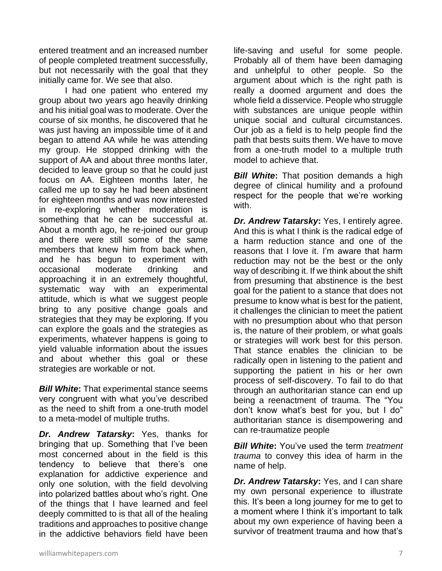entered treatment and an increased number of people completed treatment successfully, but not necessarily with the goal that they initially came for. We see that also.

I had one patient who entered my group about two years ago heavily drinking and his initial goal was to moderate. Over the course of six months, he discovered that he was just having an impossible time of it and began to attend AA while he was attending my group. He stopped drinking with the support of AA and about three months later, decided to leave group so that he could just focus on AA. Eighteen months later, he called me up to say he had been abstinent for eighteen months and was now interested in re-exploring whether moderation is something that he can be successful at. About a month ago, he re-joined our group and there were still some of the same members that knew him from back when, and he has begun to experiment with occasional moderate drinking and approaching it in an extremely thoughtful, systematic way with an experimental attitude, which is what we suggest people bring to any positive change goals and strategies that they may be exploring. If you can explore the goals and the strategies as experiments, whatever happens is going to yield valuable information about the issues and about whether this goal or these strategies are workable or not.

*Bill White***:** That experimental stance seems very congruent with what you've described as the need to shift from a one-truth model to a meta-model of multiple truths.

*Dr. Andrew Tatarsky***:** Yes, thanks for bringing that up. Something that I've been most concerned about in the field is this tendency to believe that there's one explanation for addictive experience and only one solution, with the field devolving into polarized battles about who's right. One of the things that I have learned and feel deeply committed to is that all of the healing traditions and approaches to positive change in the addictive behaviors field have been

life-saving and useful for some people. Probably all of them have been damaging and unhelpful to other people. So the argument about which is the right path is really a doomed argument and does the whole field a disservice. People who struggle with substances are unique people within unique social and cultural circumstances. Our job as a field is to help people find the path that bests suits them. We have to move from a one-truth model to a multiple truth model to achieve that.

*Bill White*: That position demands a high degree of clinical humility and a profound respect for the people that we're working with.

*Dr. Andrew Tatarsky***:** Yes, I entirely agree. And this is what I think is the radical edge of a harm reduction stance and one of the reasons that I love it. I'm aware that harm reduction may not be the best or the only way of describing it. If we think about the shift from presuming that abstinence is the best goal for the patient to a stance that does not presume to know what is best for the patient, it challenges the clinician to meet the patient with no presumption about who that person is, the nature of their problem, or what goals or strategies will work best for this person. That stance enables the clinician to be radically open in listening to the patient and supporting the patient in his or her own process of self-discovery. To fail to do that through an authoritarian stance can end up being a reenactment of trauma. The "You don't know what's best for you, but I do" authoritarian stance is disempowering and can re-traumatize people

*Bill White***:** You've used the term *treatment trauma* to convey this idea of harm in the name of help.

*Dr. Andrew Tatarsky***:** Yes, and I can share my own personal experience to illustrate this. It's been a long journey for me to get to a moment where I think it's important to talk about my own experience of having been a survivor of treatment trauma and how that's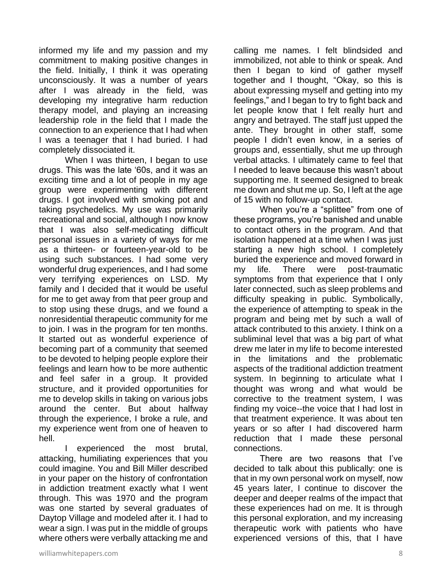informed my life and my passion and my commitment to making positive changes in the field. Initially, I think it was operating unconsciously. It was a number of years after I was already in the field, was developing my integrative harm reduction therapy model, and playing an increasing leadership role in the field that I made the connection to an experience that I had when I was a teenager that I had buried. I had completely dissociated it.

When I was thirteen, I began to use drugs. This was the late '60s, and it was an exciting time and a lot of people in my age group were experimenting with different drugs. I got involved with smoking pot and taking psychedelics. My use was primarily recreational and social, although I now know that I was also self-medicating difficult personal issues in a variety of ways for me as a thirteen- or fourteen-year-old to be using such substances. I had some very wonderful drug experiences, and I had some very terrifying experiences on LSD. My family and I decided that it would be useful for me to get away from that peer group and to stop using these drugs, and we found a nonresidential therapeutic community for me to join. I was in the program for ten months. It started out as wonderful experience of becoming part of a community that seemed to be devoted to helping people explore their feelings and learn how to be more authentic and feel safer in a group. It provided structure, and it provided opportunities for me to develop skills in taking on various jobs around the center. But about halfway through the experience, I broke a rule, and my experience went from one of heaven to hell.

I experienced the most brutal, attacking, humiliating experiences that you could imagine. You and Bill Miller described in your paper on the history of confrontation in addiction treatment exactly what I went through. This was 1970 and the program was one started by several graduates of Daytop Village and modeled after it. I had to wear a sign. I was put in the middle of groups where others were verbally attacking me and calling me names. I felt blindsided and immobilized, not able to think or speak. And then I began to kind of gather myself together and I thought, "Okay, so this is about expressing myself and getting into my feelings," and I began to try to fight back and let people know that I felt really hurt and angry and betrayed. The staff just upped the ante. They brought in other staff, some people I didn't even know, in a series of groups and, essentially, shut me up through verbal attacks. I ultimately came to feel that I needed to leave because this wasn't about supporting me. It seemed designed to break me down and shut me up. So, I left at the age of 15 with no follow-up contact.

When you're a "splittee" from one of these programs, you're banished and unable to contact others in the program. And that isolation happened at a time when I was just starting a new high school. I completely buried the experience and moved forward in my life. There were post-traumatic symptoms from that experience that I only later connected, such as sleep problems and difficulty speaking in public. Symbolically, the experience of attempting to speak in the program and being met by such a wall of attack contributed to this anxiety. I think on a subliminal level that was a big part of what drew me later in my life to become interested in the limitations and the problematic aspects of the traditional addiction treatment system. In beginning to articulate what I thought was wrong and what would be corrective to the treatment system, I was finding my voice--the voice that I had lost in that treatment experience. It was about ten years or so after I had discovered harm reduction that I made these personal connections.

There are two reasons that I've decided to talk about this publically: one is that in my own personal work on myself, now 45 years later, I continue to discover the deeper and deeper realms of the impact that these experiences had on me. It is through this personal exploration, and my increasing therapeutic work with patients who have experienced versions of this, that I have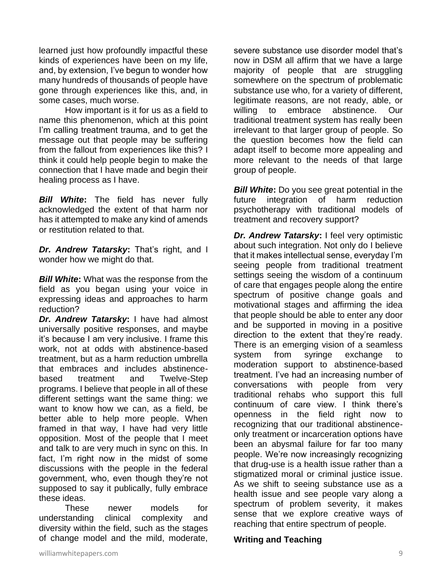learned just how profoundly impactful these kinds of experiences have been on my life, and, by extension, I've begun to wonder how many hundreds of thousands of people have gone through experiences like this, and, in some cases, much worse.

How important is it for us as a field to name this phenomenon, which at this point I'm calling treatment trauma, and to get the message out that people may be suffering from the fallout from experiences like this? I think it could help people begin to make the connection that I have made and begin their healing process as I have.

*Bill White***:** The field has never fully acknowledged the extent of that harm nor has it attempted to make any kind of amends or restitution related to that.

*Dr. Andrew Tatarsky***:** That's right, and I wonder how we might do that.

*Bill White***:** What was the response from the field as you began using your voice in expressing ideas and approaches to harm reduction?

*Dr. Andrew Tatarsky***:** I have had almost universally positive responses, and maybe it's because I am very inclusive. I frame this work, not at odds with abstinence-based treatment, but as a harm reduction umbrella that embraces and includes abstinencebased treatment and Twelve-Step programs. I believe that people in all of these different settings want the same thing: we want to know how we can, as a field, be better able to help more people. When framed in that way, I have had very little opposition. Most of the people that I meet and talk to are very much in sync on this. In fact, I'm right now in the midst of some discussions with the people in the federal government, who, even though they're not supposed to say it publically, fully embrace these ideas.

These newer models for understanding clinical complexity and diversity within the field, such as the stages of change model and the mild, moderate, severe substance use disorder model that's now in DSM all affirm that we have a large majority of people that are struggling somewhere on the spectrum of problematic substance use who, for a variety of different, legitimate reasons, are not ready, able, or willing to embrace abstinence. Our traditional treatment system has really been irrelevant to that larger group of people. So the question becomes how the field can adapt itself to become more appealing and more relevant to the needs of that large group of people.

*Bill White:* Do you see great potential in the future integration of harm reduction psychotherapy with traditional models of treatment and recovery support?

*Dr. Andrew Tatarsky***:** I feel very optimistic about such integration. Not only do I believe that it makes intellectual sense, everyday I'm seeing people from traditional treatment settings seeing the wisdom of a continuum of care that engages people along the entire spectrum of positive change goals and motivational stages and affirming the idea that people should be able to enter any door and be supported in moving in a positive direction to the extent that they're ready. There is an emerging vision of a seamless system from syringe exchange to moderation support to abstinence-based treatment. I've had an increasing number of conversations with people from very traditional rehabs who support this full continuum of care view. I think there's openness in the field right now to recognizing that our traditional abstinenceonly treatment or incarceration options have been an abysmal failure for far too many people. We're now increasingly recognizing that drug-use is a health issue rather than a stigmatized moral or criminal justice issue. As we shift to seeing substance use as a health issue and see people vary along a spectrum of problem severity, it makes sense that we explore creative ways of reaching that entire spectrum of people.

#### **Writing and Teaching**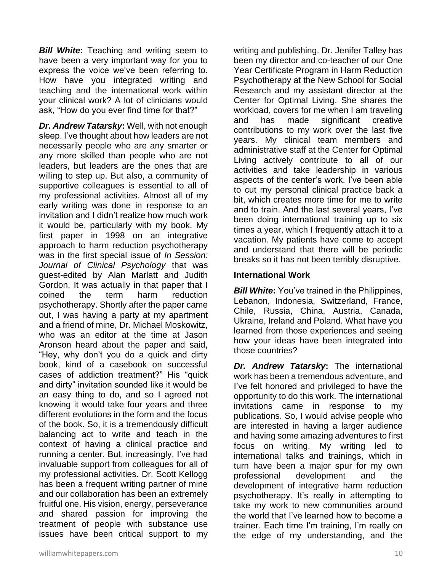*Bill White***:** Teaching and writing seem to have been a very important way for you to express the voice we've been referring to. How have you integrated writing and teaching and the international work within your clinical work? A lot of clinicians would ask, "How do you ever find time for that?"

*Dr. Andrew Tatarsky***:** Well, with not enough sleep. I've thought about how leaders are not necessarily people who are any smarter or any more skilled than people who are not leaders, but leaders are the ones that are willing to step up. But also, a community of supportive colleagues is essential to all of my professional activities. Almost all of my early writing was done in response to an invitation and I didn't realize how much work it would be, particularly with my book. My first paper in 1998 on an integrative approach to harm reduction psychotherapy was in the first special issue of *In Session: Journal of Clinical Psychology* that was guest-edited by Alan Marlatt and Judith Gordon. It was actually in that paper that I coined the term harm reduction psychotherapy. Shortly after the paper came out, I was having a party at my apartment and a friend of mine, Dr. Michael Moskowitz, who was an editor at the time at Jason Aronson heard about the paper and said, "Hey, why don't you do a quick and dirty book, kind of a casebook on successful cases of addiction treatment?" His "quick and dirty" invitation sounded like it would be an easy thing to do, and so I agreed not knowing it would take four years and three different evolutions in the form and the focus of the book. So, it is a tremendously difficult balancing act to write and teach in the context of having a clinical practice and running a center. But, increasingly, I've had invaluable support from colleagues for all of my professional activities. Dr. Scott Kellogg has been a frequent writing partner of mine and our collaboration has been an extremely fruitful one. His vision, energy, perseverance and shared passion for improving the treatment of people with substance use issues have been critical support to my

writing and publishing. Dr. Jenifer Talley has been my director and co-teacher of our One Year Certificate Program in Harm Reduction Psychotherapy at the New School for Social Research and my assistant director at the Center for Optimal Living. She shares the workload, covers for me when I am traveling and has made significant creative contributions to my work over the last five years. My clinical team members and administrative staff at the Center for Optimal Living actively contribute to all of our activities and take leadership in various aspects of the center's work. I've been able to cut my personal clinical practice back a bit, which creates more time for me to write and to train. And the last several years, I've been doing international training up to six times a year, which I frequently attach it to a vacation. My patients have come to accept and understand that there will be periodic breaks so it has not been terribly disruptive.

#### **International Work**

*Bill White:* You've trained in the Philippines, Lebanon, Indonesia, Switzerland, France, Chile, Russia, China, Austria, Canada, Ukraine, Ireland and Poland. What have you learned from those experiences and seeing how your ideas have been integrated into those countries?

*Dr. Andrew Tatarsky***:** The international work has been a tremendous adventure, and I've felt honored and privileged to have the opportunity to do this work. The international invitations came in response to my publications. So, I would advise people who are interested in having a larger audience and having some amazing adventures to first focus on writing. My writing led to international talks and trainings, which in turn have been a major spur for my own professional development and the development of integrative harm reduction psychotherapy. It's really in attempting to take my work to new communities around the world that I've learned how to become a trainer. Each time I'm training, I'm really on the edge of my understanding, and the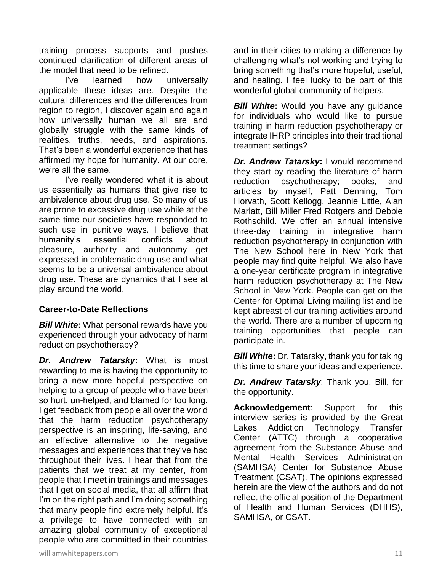training process supports and pushes continued clarification of different areas of the model that need to be refined.

I've learned how universally applicable these ideas are. Despite the cultural differences and the differences from region to region, I discover again and again how universally human we all are and globally struggle with the same kinds of realities, truths, needs, and aspirations. That's been a wonderful experience that has affirmed my hope for humanity. At our core, we're all the same.

I've really wondered what it is about us essentially as humans that give rise to ambivalence about drug use. So many of us are prone to excessive drug use while at the same time our societies have responded to such use in punitive ways. I believe that humanity's essential conflicts about pleasure, authority and autonomy get expressed in problematic drug use and what seems to be a universal ambivalence about drug use. These are dynamics that I see at play around the world.

## **Career-to-Date Reflections**

*Bill White***:** What personal rewards have you experienced through your advocacy of harm reduction psychotherapy?

*Dr. Andrew Tatarsky***:** What is most rewarding to me is having the opportunity to bring a new more hopeful perspective on helping to a group of people who have been so hurt, un-helped, and blamed for too long. I get feedback from people all over the world that the harm reduction psychotherapy perspective is an inspiring, life-saving, and an effective alternative to the negative messages and experiences that they've had throughout their lives. I hear that from the patients that we treat at my center, from people that I meet in trainings and messages that I get on social media, that all affirm that I'm on the right path and I'm doing something that many people find extremely helpful. It's a privilege to have connected with an amazing global community of exceptional people who are committed in their countries

and in their cities to making a difference by challenging what's not working and trying to bring something that's more hopeful, useful, and healing. I feel lucky to be part of this wonderful global community of helpers.

**Bill White:** Would you have any guidance for individuals who would like to pursue training in harm reduction psychotherapy or integrate IHRP principles into their traditional treatment settings?

*Dr. Andrew Tatarsky***:** I would recommend they start by reading the literature of harm reduction psychotherapy; books, and articles by myself, Patt Denning, Tom Horvath, Scott Kellogg, Jeannie Little, Alan Marlatt, Bill Miller Fred Rotgers and Debbie Rothschild. We offer an annual intensive three-day training in integrative harm reduction psychotherapy in conjunction with The New School here in New York that people may find quite helpful. We also have a one-year certificate program in integrative harm reduction psychotherapy at The New School in New York. People can get on the Center for Optimal Living mailing list and be kept abreast of our training activities around the world. There are a number of upcoming training opportunities that people can participate in.

*Bill White***:** Dr. Tatarsky, thank you for taking this time to share your ideas and experience.

*Dr. Andrew Tatarsky*: Thank you, Bill, for the opportunity.

**Acknowledgement**: Support for this interview series is provided by the Great Lakes Addiction Technology Transfer Center (ATTC) through a cooperative agreement from the Substance Abuse and Mental Health Services Administration (SAMHSA) Center for Substance Abuse Treatment (CSAT). The opinions expressed herein are the view of the authors and do not reflect the official position of the Department of Health and Human Services (DHHS), SAMHSA, or CSAT.